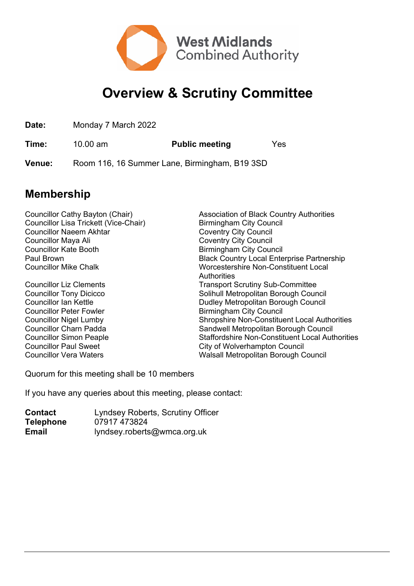

## **Overview & Scrutiny Committee**

**Date:** Monday 7 March 2022

**Time:** 10.00 am **Public meeting** Yes

**Venue:** Room 116, 16 Summer Lane, Birmingham, B19 3SD

## **Membership**

| Councillor Cathy Bayton (Chair)       | <b>Association of Black Country Authorities</b>        |
|---------------------------------------|--------------------------------------------------------|
| Councillor Lisa Trickett (Vice-Chair) | <b>Birmingham City Council</b>                         |
| <b>Councillor Naeem Akhtar</b>        | <b>Coventry City Council</b>                           |
| Councillor Maya Ali                   | <b>Coventry City Council</b>                           |
| <b>Councillor Kate Booth</b>          | <b>Birmingham City Council</b>                         |
| Paul Brown                            | <b>Black Country Local Enterprise Partnership</b>      |
| <b>Councillor Mike Chalk</b>          | Worcestershire Non-Constituent Local                   |
|                                       | Authorities                                            |
| <b>Councillor Liz Clements</b>        | <b>Transport Scrutiny Sub-Committee</b>                |
| <b>Councillor Tony Dicicco</b>        | Solihull Metropolitan Borough Council                  |
| <b>Councillor Ian Kettle</b>          | Dudley Metropolitan Borough Council                    |
| <b>Councillor Peter Fowler</b>        | <b>Birmingham City Council</b>                         |
| <b>Councillor Nigel Lumby</b>         | <b>Shropshire Non-Constituent Local Authorities</b>    |
| <b>Councillor Charn Padda</b>         | Sandwell Metropolitan Borough Council                  |
| <b>Councillor Simon Peaple</b>        | <b>Staffordshire Non-Constituent Local Authorities</b> |
| <b>Councillor Paul Sweet</b>          | City of Wolverhampton Council                          |
| <b>Councillor Vera Waters</b>         | Walsall Metropolitan Borough Council                   |
|                                       |                                                        |

Quorum for this meeting shall be 10 members

If you have any queries about this meeting, please contact:

| <b>Contact</b>   | Lyndsey Roberts, Scrutiny Officer |
|------------------|-----------------------------------|
| <b>Telephone</b> | 07917 473824                      |
| Email            | lyndsey.roberts@wmca.org.uk       |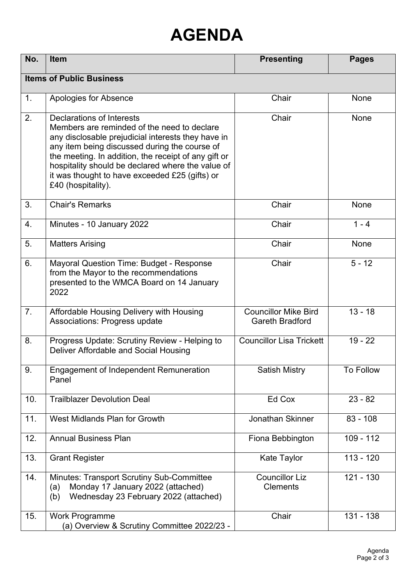## **AGENDA**

| No.                             | <b>Item</b>                                                                                                                                                                                                                                                                                                                                                          | <b>Presenting</b>                                     | <b>Pages</b>           |  |  |
|---------------------------------|----------------------------------------------------------------------------------------------------------------------------------------------------------------------------------------------------------------------------------------------------------------------------------------------------------------------------------------------------------------------|-------------------------------------------------------|------------------------|--|--|
| <b>Items of Public Business</b> |                                                                                                                                                                                                                                                                                                                                                                      |                                                       |                        |  |  |
| 1.                              | Apologies for Absence                                                                                                                                                                                                                                                                                                                                                | Chair                                                 | <b>None</b>            |  |  |
| 2.                              | Declarations of Interests<br>Members are reminded of the need to declare<br>any disclosable prejudicial interests they have in<br>any item being discussed during the course of<br>the meeting. In addition, the receipt of any gift or<br>hospitality should be declared where the value of<br>it was thought to have exceeded £25 (gifts) or<br>£40 (hospitality). | Chair                                                 | None                   |  |  |
| 3.                              | <b>Chair's Remarks</b>                                                                                                                                                                                                                                                                                                                                               | Chair                                                 | <b>None</b>            |  |  |
| 4.                              | Minutes - 10 January 2022                                                                                                                                                                                                                                                                                                                                            | Chair                                                 | $1 - 4$                |  |  |
| 5.                              | <b>Matters Arising</b>                                                                                                                                                                                                                                                                                                                                               | Chair                                                 | None                   |  |  |
| 6.                              | Mayoral Question Time: Budget - Response<br>from the Mayor to the recommendations<br>presented to the WMCA Board on 14 January<br>2022                                                                                                                                                                                                                               | Chair                                                 | $5 - 12$               |  |  |
| 7 <sub>1</sub>                  | Affordable Housing Delivery with Housing<br><b>Associations: Progress update</b>                                                                                                                                                                                                                                                                                     | <b>Councillor Mike Bird</b><br><b>Gareth Bradford</b> | $13 - 18$              |  |  |
| 8.                              | Progress Update: Scrutiny Review - Helping to<br>Deliver Affordable and Social Housing                                                                                                                                                                                                                                                                               | <b>Councillor Lisa Trickett</b>                       | $19 - 22$              |  |  |
| 9.                              | <b>Engagement of Independent Remuneration</b><br>Panel                                                                                                                                                                                                                                                                                                               | <b>Satish Mistry</b>                                  | <b>To Follow</b>       |  |  |
| 10.                             | <b>Trailblazer Devolution Deal</b>                                                                                                                                                                                                                                                                                                                                   | Ed Cox                                                | $23 - 82$              |  |  |
| 11.                             | West Midlands Plan for Growth                                                                                                                                                                                                                                                                                                                                        | Jonathan Skinner                                      | $83 - 108$             |  |  |
| 12.                             | <b>Annual Business Plan</b>                                                                                                                                                                                                                                                                                                                                          | Fiona Bebbington                                      | $\overline{109}$ - 112 |  |  |
| 13.                             | <b>Grant Register</b>                                                                                                                                                                                                                                                                                                                                                | <b>Kate Taylor</b>                                    | $113 - 120$            |  |  |
| 14.                             | <b>Minutes: Transport Scrutiny Sub-Committee</b><br>Monday 17 January 2022 (attached)<br>(a)<br>Wednesday 23 February 2022 (attached)<br>(b)                                                                                                                                                                                                                         | <b>Councillor Liz</b><br><b>Clements</b>              | $121 - 130$            |  |  |
| 15.                             | <b>Work Programme</b><br>(a) Overview & Scrutiny Committee 2022/23 -                                                                                                                                                                                                                                                                                                 | Chair                                                 | 131 - 138              |  |  |